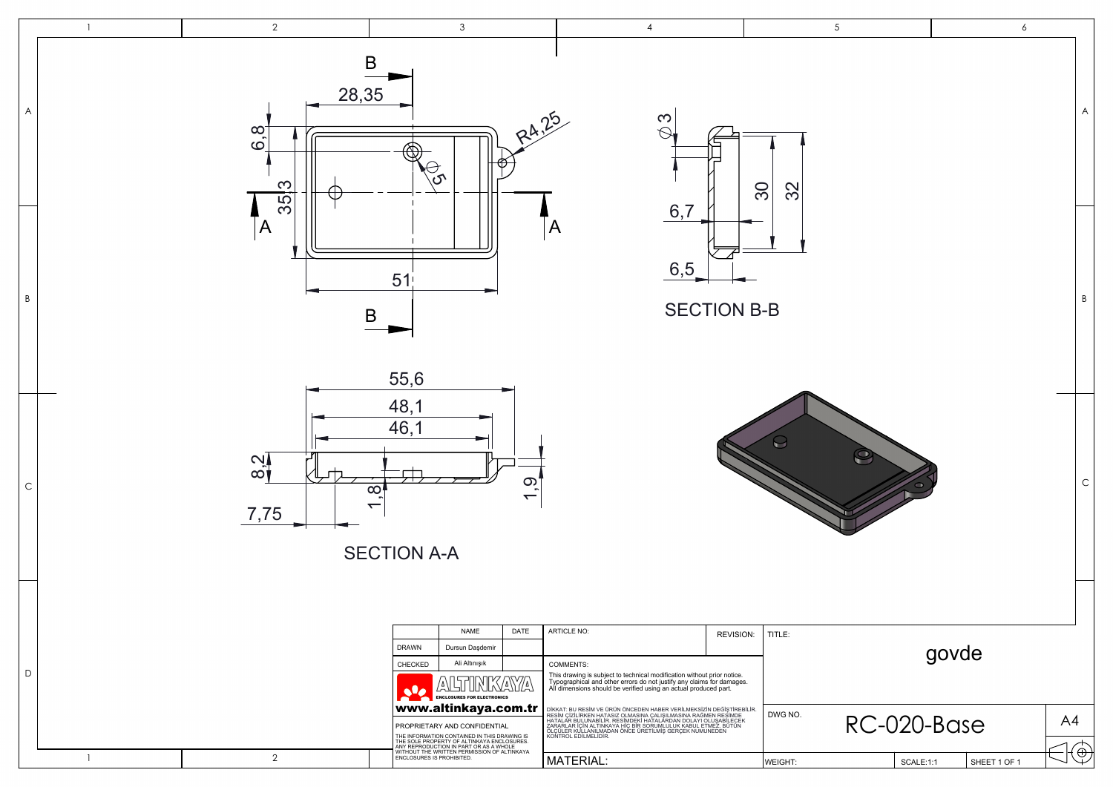